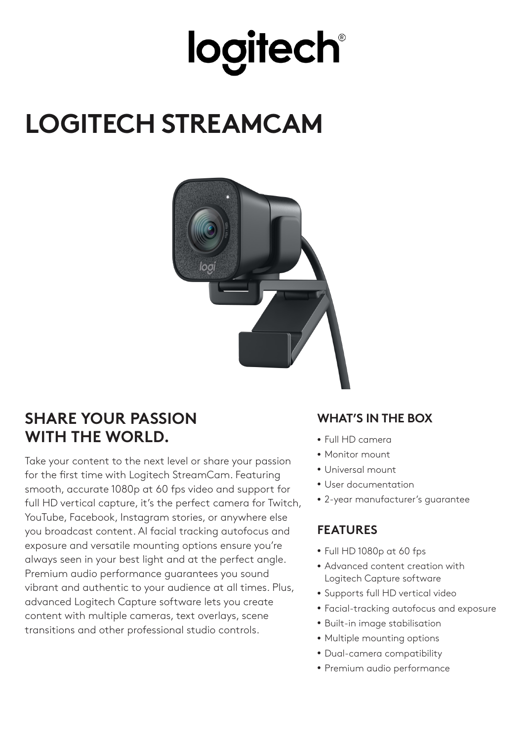## **logitech®**

### **LOGITECH STREAMCAM**



### **SHARE YOUR PASSION WITH THE WORLD.**

Take your content to the next level or share your passion for the first time with Logitech StreamCam. Featuring smooth, accurate 1080p at 60 fps video and support for full HD vertical capture, it's the perfect camera for Twitch, YouTube, Facebook, Instagram stories, or anywhere else you broadcast content. AI facial tracking autofocus and exposure and versatile mounting options ensure you're always seen in your best light and at the perfect angle. Premium audio performance guarantees you sound vibrant and authentic to your audience at all times. Plus, advanced Logitech Capture software lets you create content with multiple cameras, text overlays, scene transitions and other professional studio controls.

#### **WHAT'S IN THE BOX**

- Full HD camera
- Monitor mount
- Universal mount
- User documentation
- 2-year manufacturer's guarantee

#### **FEATURES**

- Full HD 1080p at 60 fps
- Advanced content creation with Logitech Capture software
- Supports full HD vertical video
- Facial-tracking autofocus and exposure
- Built-in image stabilisation
- Multiple mounting options
- Dual-camera compatibility
- Premium audio performance